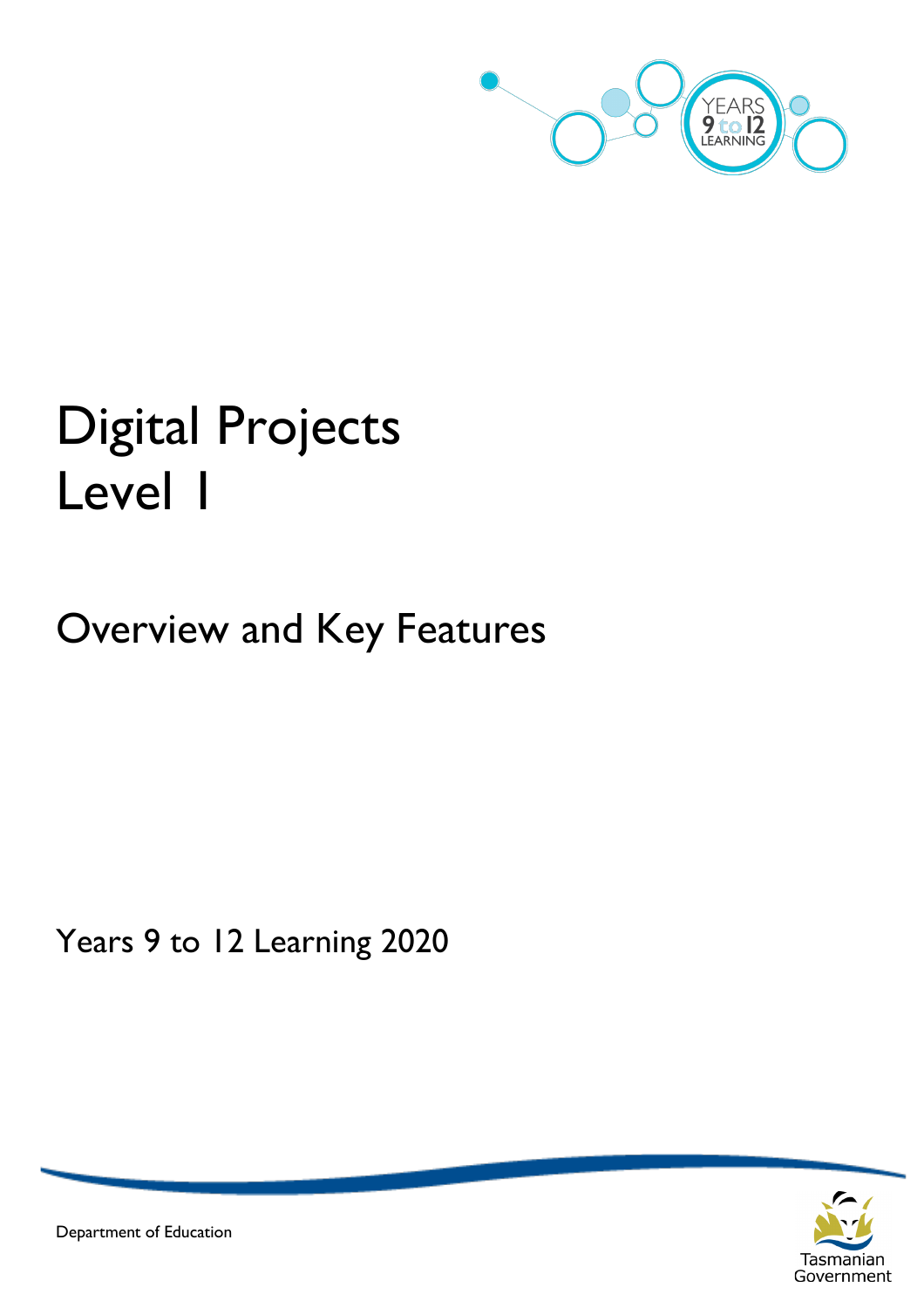

# Digital Projects Level 1

# Overview and Key Features

Years 9 to 12 Learning 2020



Department of Education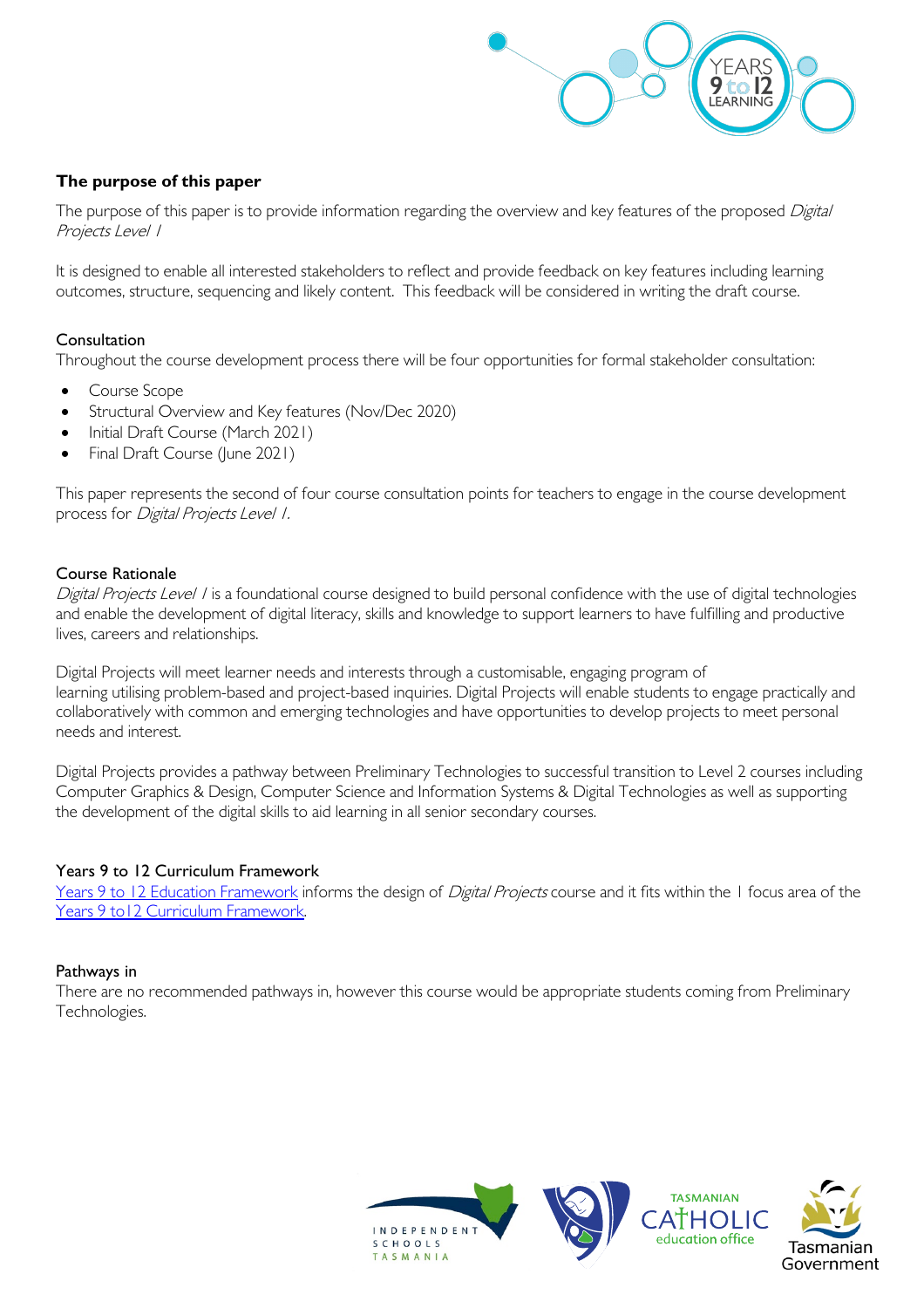

# **The purpose of this paper**

The purpose of this paper is to provide information regarding the overview and key features of the proposed Digital Projects Level 1

It is designed to enable all interested stakeholders to reflect and provide feedback on key features including learning outcomes, structure, sequencing and likely content. This feedback will be considered in writing the draft course.

#### Consultation

Throughout the course development process there will be four opportunities for formal stakeholder consultation:

- Course Scope
- Structural Overview and Key features (Nov/Dec 2020)
- Initial Draft Course (March 2021)
- Final Draft Course (June 2021)

This paper represents the second of four course consultation points for teachers to engage in the course development process for Digital Projects Level 1.

#### Course Rationale

Digital Projects Level I is a foundational course designed to build personal confidence with the use of digital technologies and enable the development of digital literacy, skills and knowledge to support learners to have fulfilling and productive lives, careers and relationships.

Digital Projects will meet learner needs and interests through a customisable, engaging program of learning utilising problem-based and project-based inquiries. Digital Projects will enable students to engage practically and collaboratively with common and emerging technologies and have opportunities to develop projects to meet personal needs and interest.

Digital Projects provides a pathway between Preliminary Technologies to successful transition to Level 2 courses including Computer Graphics & Design, Computer Science and Information Systems & Digital Technologies as well as supporting the development of the digital skills to aid learning in all senior secondary courses.

#### Years 9 to 12 Curriculum Framework

[Years 9 to 12 Education Framework](https://publicdocumentcentre.education.tas.gov.au/library/Shared%20Documents/Years-9-to-12-Education-Framework.pdf) informs the design of Digital Projects course and it fits within the 1 focus area of the Years 9 to 12 Curriculum Framework.

#### Pathways in

There are no recommended pathways in, however this course would be appropriate students coming from Preliminary Technologies.

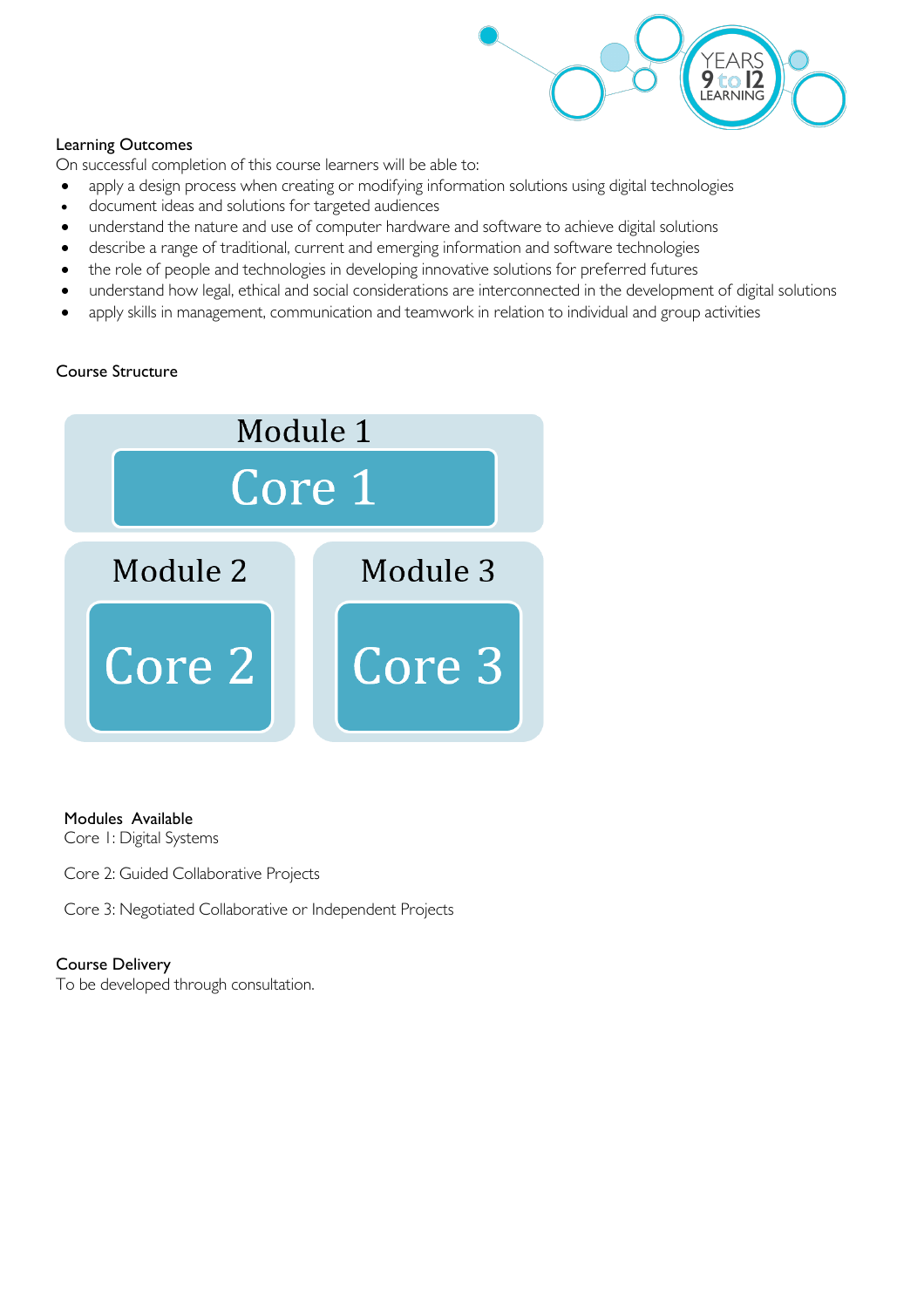

# Learning Outcomes

On successful completion of this course learners will be able to:

- apply a design process when creating or modifying information solutions using digital technologies
- document ideas and solutions for targeted audiences
- understand the nature and use of computer hardware and software to achieve digital solutions
- describe a range of traditional, current and emerging information and software technologies
- the role of people and technologies in developing innovative solutions for preferred futures
- understand how legal, ethical and social considerations are interconnected in the development of digital solutions
- apply skills in management, communication and teamwork in relation to individual and group activities

# Course Structure



# Modules Available

Core 1: Digital Systems

Core 2: Guided Collaborative Projects

Core 3: Negotiated Collaborative or Independent Projects

### Course Delivery

To be developed through consultation.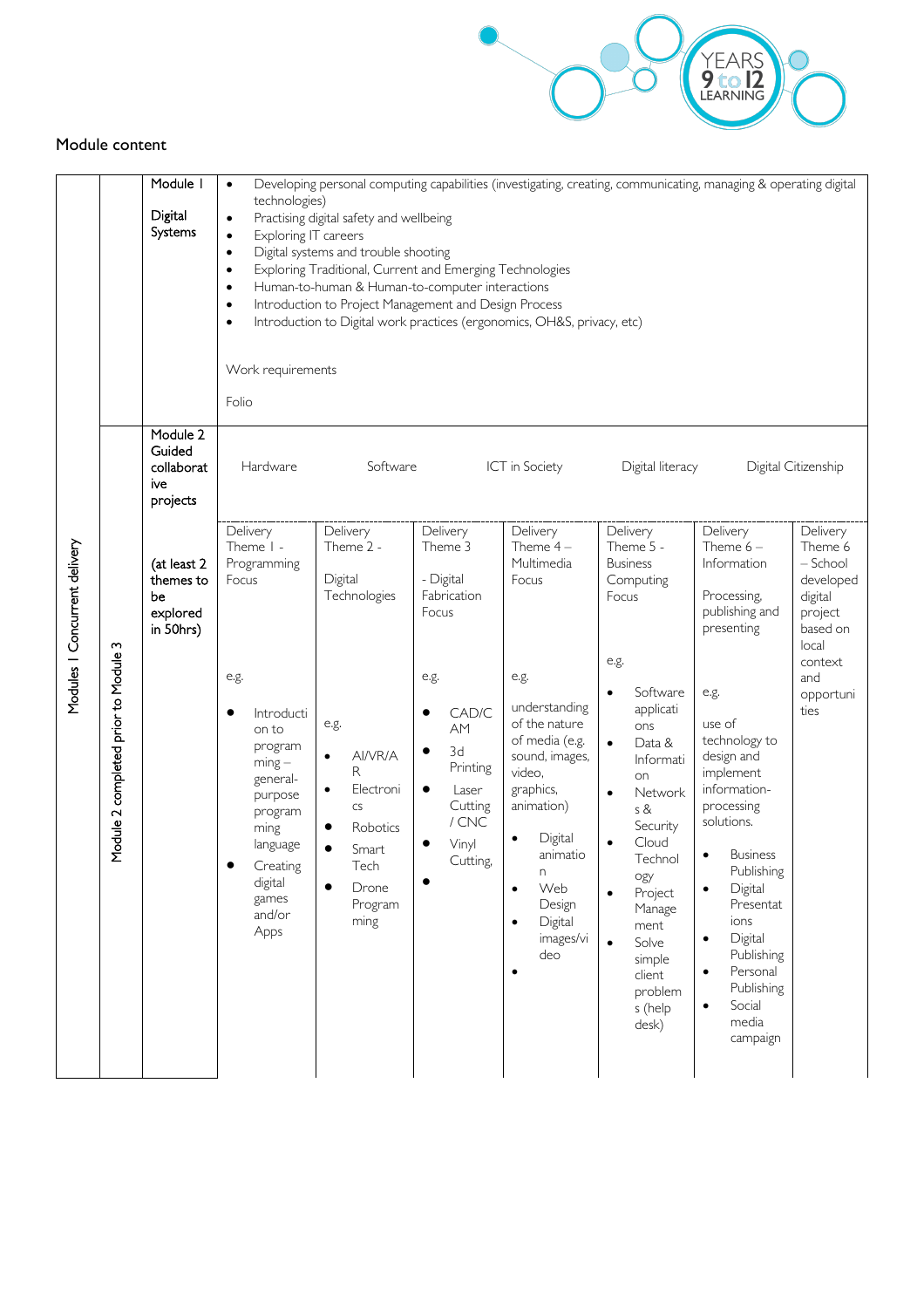

#### Module content

|                               |                                      | Module I<br>Digital<br>Systems                          | Developing personal computing capabilities (investigating, creating, communicating, managing & operating digital<br>$\bullet$<br>technologies)<br>Practising digital safety and wellbeing<br>$\bullet$<br>Exploring IT careers<br>$\bullet$<br>Digital systems and trouble shooting<br>$\bullet$<br>Exploring Traditional, Current and Emerging Technologies<br>$\bullet$<br>Human-to-human & Human-to-computer interactions<br>$\bullet$<br>Introduction to Project Management and Design Process<br>$\bullet$<br>Introduction to Digital work practices (ergonomics, OH&S, privacy, etc)<br>$\bullet$<br>Work requirements<br>Folio |                                                                                                                                              |                                                                                           |                                                                                                                                                                                             |                                                                                                                                                                                                                                                                         |                                                                                                                                                                                                                                                                                     |                                                                                           |
|-------------------------------|--------------------------------------|---------------------------------------------------------|---------------------------------------------------------------------------------------------------------------------------------------------------------------------------------------------------------------------------------------------------------------------------------------------------------------------------------------------------------------------------------------------------------------------------------------------------------------------------------------------------------------------------------------------------------------------------------------------------------------------------------------|----------------------------------------------------------------------------------------------------------------------------------------------|-------------------------------------------------------------------------------------------|---------------------------------------------------------------------------------------------------------------------------------------------------------------------------------------------|-------------------------------------------------------------------------------------------------------------------------------------------------------------------------------------------------------------------------------------------------------------------------|-------------------------------------------------------------------------------------------------------------------------------------------------------------------------------------------------------------------------------------------------------------------------------------|-------------------------------------------------------------------------------------------|
| Modules I Concurrent delivery | Module 2 completed prior to Module 3 | Module 2<br>Guided<br>collaborat<br>ive<br>projects     | Hardware                                                                                                                                                                                                                                                                                                                                                                                                                                                                                                                                                                                                                              | Software                                                                                                                                     |                                                                                           | ICT in Society                                                                                                                                                                              | Digital literacy                                                                                                                                                                                                                                                        |                                                                                                                                                                                                                                                                                     | Digital Citizenship                                                                       |
|                               |                                      | (at least 2<br>themes to<br>be<br>explored<br>in 50hrs) | Delivery<br>Theme I -<br>Programming<br>Focus                                                                                                                                                                                                                                                                                                                                                                                                                                                                                                                                                                                         | Delivery<br>Theme 2 -<br>Digital<br>Technologies                                                                                             | Delivery<br>Theme 3<br>- Digital<br>Fabrication<br>Focus                                  | Delivery<br>Theme $4-$<br>Multimedia<br>Focus                                                                                                                                               | Delivery<br>Theme 5 -<br><b>Business</b><br>Computing<br>Focus                                                                                                                                                                                                          | Delivery<br>Theme $6-$<br>Information<br>Processing,<br>publishing and<br>presenting                                                                                                                                                                                                | Delivery<br>Theme 6<br>$-$ School<br>developed<br>digital<br>project<br>based on<br>local |
|                               |                                      |                                                         | e.g.<br>Introducti<br>on to<br>program<br>$ming -$<br>general-<br>purpose<br>program<br>ming<br>language<br>Creating<br>digital<br>games<br>and/or<br>Apps                                                                                                                                                                                                                                                                                                                                                                                                                                                                            | e.g.<br>AI/VR/A<br>$\bullet$<br>R<br>Electroni<br>$\bullet$<br>CS<br>Robotics<br>٠<br>Smart<br>Tech<br>$\bullet$<br>Drone<br>Program<br>ming | e.g.<br>CAD/C<br>AM<br>3d<br>Printing<br>Laser<br>Cutting<br>$/$ CNC<br>Vinyl<br>Cutting, | e.g.<br>understanding<br>of the nature<br>of media (e.g.<br>sound, images,<br>video,<br>graphics,<br>animation)<br>Digital<br>animatio<br>n<br>Web<br>Design<br>Digital<br>images/vi<br>deo | e.g.<br>Software<br>applicati<br>ons<br>Data &<br>$\bullet$<br>Informati<br>on<br>Network<br>$\bullet$<br>s &<br>Security<br>Cloud<br>Technol<br>ogy<br>Project<br>$\bullet$<br>Manage<br>ment<br>Solve<br>$\bullet$<br>simple<br>client<br>problem<br>s (help<br>desk) | e.g.<br>use of<br>technology to<br>design and<br>implement<br>information-<br>processing<br>solutions.<br><b>Business</b><br>Publishing<br>Digital<br>Presentat<br>ions<br>Digital<br>$\bullet$<br>Publishing<br>Personal<br>Publishing<br>Social<br>$\bullet$<br>media<br>campaign | context<br>and<br>opportuni<br>ties                                                       |